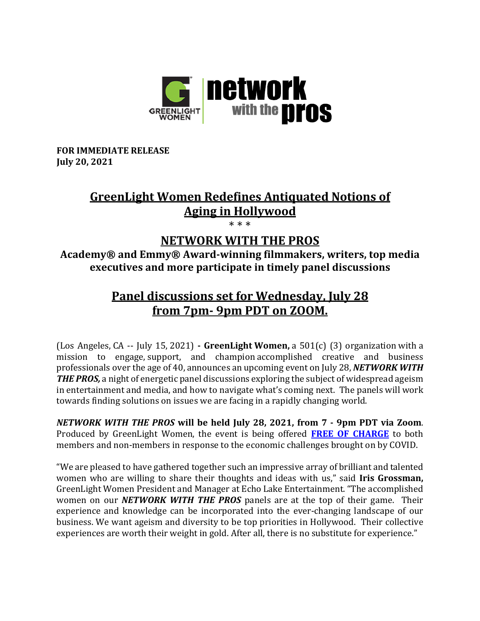

**FOR IMMEDIATE RELEASE July 20, 2021**

# **GreenLight Women Redefines Antiquated Notions of Aging in Hollywood**

\* \* \*

### **NETWORK WITH THE PROS**

Academy<sup>®</sup> and Emmy<sup>®</sup> Award-winning filmmakers, writers, top media **executives and more participate in timely panel discussions** 

## **Panel discussions set for Wednesday, July 28 from 7pm- 9pm PDT on ZOOM.**

(Los Angeles, CA -- July 15, 2021) **- GreenLight Women,** a 501(c) (3) organization with a mission to engage, support, and champion accomplished creative and business professionals over the age of 40, announces an upcoming event on July 28, *NETWORK WITH* **THE PROS**, a night of energetic panel discussions exploring the subject of widespread ageism in entertainment and media, and how to navigate what's coming next. The panels will work towards finding solutions on issues we are facing in a rapidly changing world.

*NETWORK WITH THE PROS* **will be held July 28, 2021, from 7 - 9pm PDT via Zoom**. Produced by GreenLight Women, the event is being offered **FREE OF CHARGE** to both members and non-members in response to the economic challenges brought on by COVID.

"We are pleased to have gathered together such an impressive array of brilliant and talented women who are willing to share their thoughts and ideas with us," said **Iris Grossman**, GreenLight Women President and Manager at Echo Lake Entertainment. "The accomplished women on our *NETWORK WITH THE PROS* panels are at the top of their game. Their experience and knowledge can be incorporated into the ever-changing landscape of our business. We want ageism and diversity to be top priorities in Hollywood. Their collective experiences are worth their weight in gold. After all, there is no substitute for experience."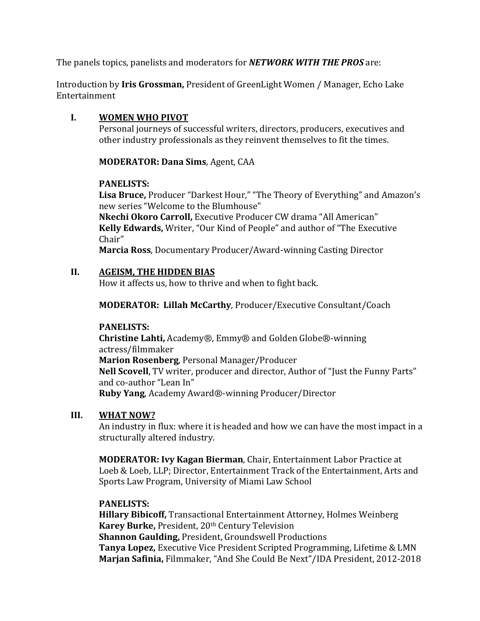The panels topics, panelists and moderators for *NETWORK WITH THE PROS* are:

Introduction by **Iris Grossman,** President of GreenLight Women / Manager, Echo Lake Entertainment

#### **I. WOMEN WHO PIVOT**

Personal journeys of successful writers, directors, producers, executives and other industry professionals as they reinvent themselves to fit the times.

**MODERATOR: Dana Sims**, Agent, CAA

#### **PANELISTS:**

Lisa Bruce, Producer "Darkest Hour," "The Theory of Everything" and Amazon's new series "Welcome to the Blumhouse"

**Nkechi Okoro Carroll, Executive Producer CW drama "All American" Kelly Edwards,** Writer, "Our Kind of People" and author of "The Executive Chair"

**Marcia Ross, Documentary Producer/Award-winning Casting Director** 

#### **II. AGEISM, THE HIDDEN BIAS**

How it affects us, how to thrive and when to fight back.

**MODERATOR: Lillah McCarthy, Producer/Executive Consultant/Coach** 

#### **PANELISTS:**

**Christine Lahti,** Academy®, Emmy® and Golden Globe®-winning actress/filmmaker **Marion Rosenberg**, Personal Manager/Producer **Nell Scovell**, TV writer, producer and director, Author of "Just the Funny Parts" and co-author "Lean In" **Ruby Yang**, Academy Award®-winning Producer/Director

#### **III. WHAT NOW?**

An industry in flux: where it is headed and how we can have the most impact in a structurally altered industry.

**MODERATOR: Ivy Kagan Bierman, Chair, Entertainment Labor Practice at** Loeb & Loeb, LLP; Director, Entertainment Track of the Entertainment, Arts and Sports Law Program, University of Miami Law School

#### **PANELISTS:**

**Hillary Bibicoff,** Transactional Entertainment Attorney, Holmes Weinberg **Karey Burke, President, 20th Century Television Shannon Gaulding, President, Groundswell Productions Tanya Lopez,** Executive Vice President Scripted Programming, Lifetime & LMN Marjan Safinia, Filmmaker, "And She Could Be Next"/IDA President, 2012-2018